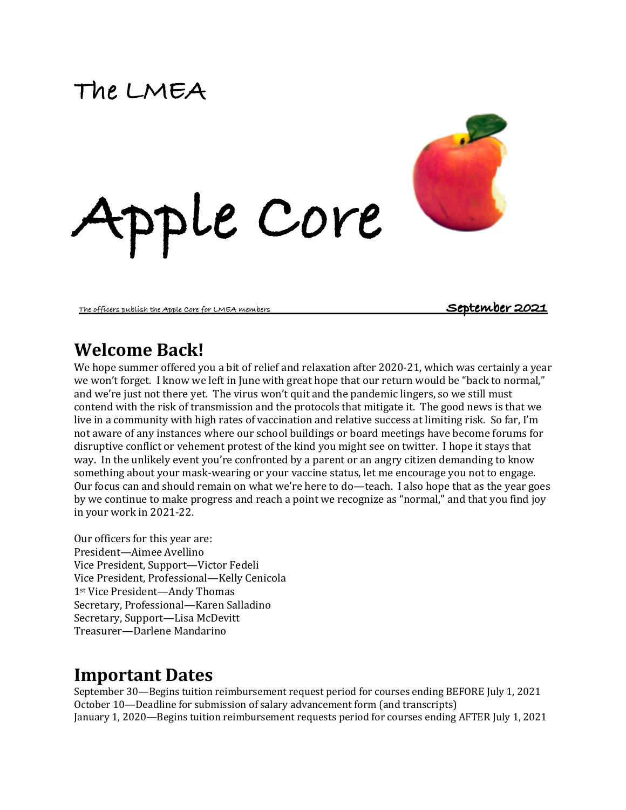# **The LMEA**



#### **The officers publish the Apple Core for LMEA members September 2021**

# **Welcome Back!**

We hope summer offered you a bit of relief and relaxation after 2020-21, which was certainly a year we won't forget. I know we left in June with great hope that our return would be "back to normal," and we're just not there yet. The virus won't quit and the pandemic lingers, so we still must contend with the risk of transmission and the protocols that mitigate it. The good news is that we live in a community with high rates of vaccination and relative success at limiting risk. So far, I'm not aware of any instances where our school buildings or board meetings have become forums for disruptive conflict or vehement protest of the kind you might see on twitter. I hope it stays that way. In the unlikely event you're confronted by a parent or an angry citizen demanding to know something about your mask-wearing or your vaccine status, let me encourage you not to engage. Our focus can and should remain on what we're here to do—teach. I also hope that as the year goes by we continue to make progress and reach a point we recognize as "normal," and that you find joy in your work in 2021-22.

**Apple Core**

Our officers for this year are: President-Aimee Avellino Vice President, Support—Victor Fedeli Vice President, Professional-Kelly Cenicola 1st Vice President—Andy Thomas Secretary, Professional-Karen Salladino Secretary, Support-Lisa McDevitt Treasurer—Darlene Mandarino

## **Important Dates**

September 30—Begins tuition reimbursement request period for courses ending BEFORE July 1, 2021 October 10—Deadline for submission of salary advancement form (and transcripts) January 1, 2020—Begins tuition reimbursement requests period for courses ending AFTER July 1, 2021